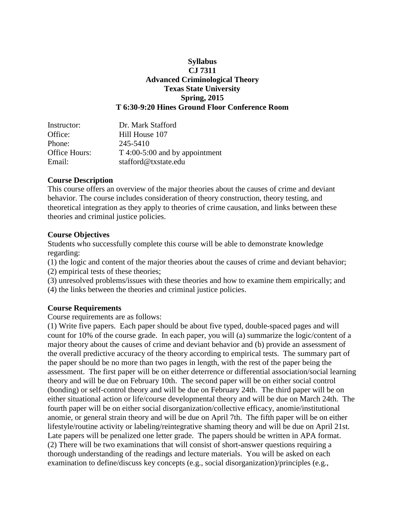# **Syllabus CJ 7311 Advanced Criminological Theory Texas State University Spring, 2015 T 6:30-9:20 Hines Ground Floor Conference Room**

| Instructor:   | Dr. Mark Stafford                 |
|---------------|-----------------------------------|
| Office:       | Hill House 107                    |
| Phone:        | 245-5410                          |
| Office Hours: | $T\,4:00-5:00$ and by appointment |
| Email:        | stafford@txstate.edu              |

### **Course Description**

This course offers an overview of the major theories about the causes of crime and deviant behavior. The course includes consideration of theory construction, theory testing, and theoretical integration as they apply to theories of crime causation, and links between these theories and criminal justice policies.

### **Course Objectives**

Students who successfully complete this course will be able to demonstrate knowledge regarding:

(1) the logic and content of the major theories about the causes of crime and deviant behavior;

(2) empirical tests of these theories;

(3) unresolved problems/issues with these theories and how to examine them empirically; and

(4) the links between the theories and criminal justice policies.

# **Course Requirements**

Course requirements are as follows:

(1) Write five papers. Each paper should be about five typed, double-spaced pages and will count for 10% of the course grade. In each paper, you will (a) summarize the logic/content of a major theory about the causes of crime and deviant behavior and (b) provide an assessment of the overall predictive accuracy of the theory according to empirical tests. The summary part of the paper should be no more than two pages in length, with the rest of the paper being the assessment. The first paper will be on either deterrence or differential association/social learning theory and will be due on February 10th. The second paper will be on either social control (bonding) or self-control theory and will be due on February 24th. The third paper will be on either situational action or life/course developmental theory and will be due on March 24th. The fourth paper will be on either social disorganization/collective efficacy, anomie/institutional anomie, or general strain theory and will be due on April 7th. The fifth paper will be on either lifestyle/routine activity or labeling/reintegrative shaming theory and will be due on April 21st. Late papers will be penalized one letter grade. The papers should be written in APA format. (2) There will be two examinations that will consist of short-answer questions requiring a thorough understanding of the readings and lecture materials. You will be asked on each examination to define/discuss key concepts (e.g., social disorganization)/principles (e.g.,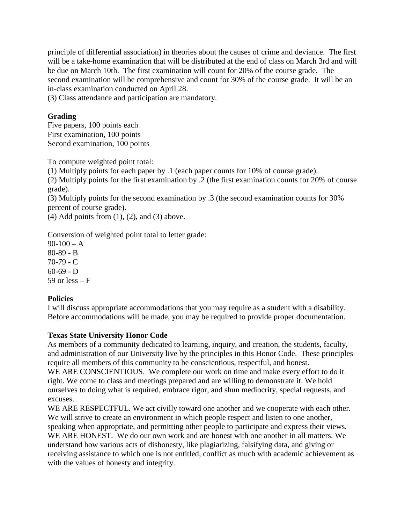principle of differential association) in theories about the causes of crime and deviance. The first will be a take-home examination that will be distributed at the end of class on March 3rd and will be due on March 10th. The first examination will count for 20% of the course grade. The second examination will be comprehensive and count for 30% of the course grade. It will be an in-class examination conducted on April 28.

(3) Class attendance and participation are mandatory.

# **Grading**

Five papers, 100 points each First examination, 100 points Second examination, 100 points

To compute weighted point total:

(1) Multiply points for each paper by .1 (each paper counts for 10% of course grade).

(2) Multiply points for the first examination by .2 (the first examination counts for 20% of course grade).

(3) Multiply points for the second examination by .3 (the second examination counts for 30% percent of course grade).

(4) Add points from  $(1)$ ,  $(2)$ , and  $(3)$  above.

Conversion of weighted point total to letter grade:

 $90-100 - A$ 80-89 - B 70-79 - C  $60-69 - D$ 59 or less  $- F$ 

# **Policies**

I will discuss appropriate accommodations that you may require as a student with a disability. Before accommodations will be made, you may be required to provide proper documentation.

# **Texas State University Honor Code**

As members of a community dedicated to learning, inquiry, and creation, the students, faculty, and administration of our University live by the principles in this Honor Code. These principles require all members of this community to be conscientious, respectful, and honest. WE ARE CONSCIENTIOUS. We complete our work on time and make every effort to do it right. We come to class and meetings prepared and are willing to demonstrate it. We hold ourselves to doing what is required, embrace rigor, and shun mediocrity, special requests, and

excuses. WE ARE RESPECTFUL. We act civilly toward one another and we cooperate with each other. We will strive to create an environment in which people respect and listen to one another, speaking when appropriate, and permitting other people to participate and express their views.

WE ARE HONEST. We do our own work and are honest with one another in all matters. We understand how various acts of dishonesty, like plagiarizing, falsifying data, and giving or receiving assistance to which one is not entitled, conflict as much with academic achievement as with the values of honesty and integrity.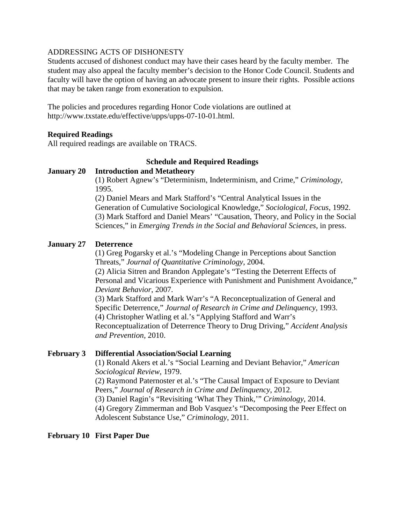#### ADDRESSING ACTS OF DISHONESTY

Students accused of dishonest conduct may have their cases heard by the faculty member. The student may also appeal the faculty member's decision to the Honor Code Council. Students and faculty will have the option of having an advocate present to insure their rights. Possible actions that may be taken range from exoneration to expulsion.

The policies and procedures regarding Honor Code violations are outlined at [http://www.txstate.edu/effective/upps/upps-07-10-01.html.](http://www.txstate.edu/effective/upps/upps-07-10-01.html)

### **Required Readings**

All required readings are available on TRACS.

#### **Schedule and Required Readings**

### **January 20 Introduction and Metatheory**

(1) Robert Agnew's "Determinism, Indeterminism, and Crime," *Criminology*, 1995.

(2) Daniel Mears and Mark Stafford's "Central Analytical Issues in the Generation of Cumulative Sociological Knowledge," *Sociological, Focus*, 1992. (3) Mark Stafford and Daniel Mears' "Causation, Theory, and Policy in the Social Sciences," in *Emerging Trends in the Social and Behavioral Sciences*, in press.

### **January 27 Deterrence**

(1) Greg Pogarsky et al.'s "Modeling Change in Perceptions about Sanction Threats," *Journal of Quantitative Criminology*, 2004. (2) Alicia Sitren and Brandon Applegate's "Testing the Deterrent Effects of Personal and Vicarious Experience with Punishment and Punishment Avoidance," *Deviant Behavior*, 2007. (3) Mark Stafford and Mark Warr's "A Reconceptualization of General and

Specific Deterrence," *Journal of Research in Crime and Delinquency*, 1993. (4) Christopher Watling et al.'s "Applying Stafford and Warr's Reconceptualization of Deterrence Theory to Drug Driving," *Accident Analysis and Prevention*, 2010.

#### **February 3 Differential Association/Social Learning**

(1) Ronald Akers et al.'s "Social Learning and Deviant Behavior," *American Sociological Review*, 1979.

(2) Raymond Paternoster et al.'s "The Causal Impact of Exposure to Deviant Peers," *Journal of Research in Crime and Delinquency*, 2012.

(3) Daniel Ragin's "Revisiting 'What They Think,'" *Criminology*, 2014.

(4) Gregory Zimmerman and Bob Vasquez's "Decomposing the Peer Effect on Adolescent Substance Use," *Criminology*, 2011.

#### **February 10 First Paper Due**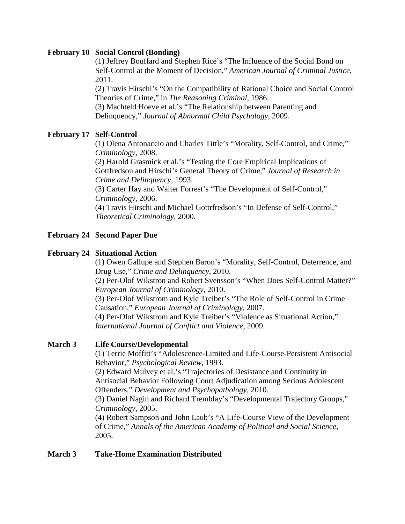### **February 10 Social Control (Bonding)**

(1) Jeffrey Bouffard and Stephen Rice's "The Influence of the Social Bond on Self-Control at the Moment of Decision," *American Journal of Criminal Justice*, 2011.

(2) Travis Hirschi's "On the Compatibility of Rational Choice and Social Control Theories of Crime," in *The Reasoning Criminal*, 1986.

(3) Machteld Hoeve et al.'s "The Relationship between Parenting and Delinquency," *Journal of Abnormal Child Psychology*, 2009.

# **February 17 Self-Control**

(1) Olena Antonaccio and Charles Tittle's "Morality, Self-Control, and Crime," *Criminology*, 2008.

(2) Harold Grasmick et al.'s "Testing the Core Empirical Implications of Gottfredson and Hirschi's General Theory of Crime," *Journal of Research in Crime and Delinquency*, 1993.

(3) Carter Hay and Walter Forrest's "The Development of Self-Control," *Criminology*, 2006.

(4) Travis Hirschi and Michael Gottrfredson's "In Defense of Self-Control," *Theoretical Criminology*, 2000.

# **February 24 Second Paper Due**

# **February 24 Situational Action**

(1) Owen Gallupe and Stephen Baron's "Morality, Self-Control, Deterrence, and Drug Use," *Crime and Delinquency*, 2010.

(2) Per-Olof Wikstron and Robert Svensson's "When Does Self-Control Matter?" *European Journal of Criminology*, 2010.

(3) Per-Olof Wikstrom and Kyle Treiber's "The Role of Self-Control in Crime Causation," *European Journal of Criminology*, 2007.

(4) Per-Olof Wikstrom and Kyle Treiber's "Violence as Situational Action," *International Journal of Conflict and Violence*, 2009.

# **March 3 Life Course/Developmental**

(1) Terrie Moffitt's "Adolescence-Limited and Life-Course-Persistent Antisocial Behavior," *Psychological Review*, 1993.

(2) Edward Mulvey et al.'s "Trajectories of Desistance and Continuity in Antisocial Behavior Following Court Adjudication among Serious Adolescent Offenders," *Development and Psychopathology*, 2010.

(3) Daniel Nagin and Richard Tremblay's "Developmental Trajectory Groups," *Criminology*, 2005.

(4) Robert Sampson and John Laub's "A Life-Course View of the Development of Crime," *Annals of the American Academy of Political and Social Science*, 2005.

# **March 3 Take-Home Examination Distributed**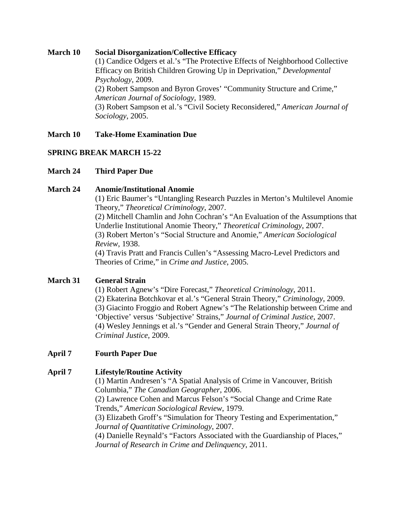### **March 10 Social Disorganization/Collective Efficacy**

(1) Candice Odgers et al.'s "The Protective Effects of Neighborhood Collective Efficacy on British Children Growing Up in Deprivation," *Developmental Psychology*, 2009.

(2) Robert Sampson and Byron Groves' "Community Structure and Crime," *American Journal of Sociology*, 1989.

(3) Robert Sampson et al.'s "Civil Society Reconsidered," *American Journal of Sociology*, 2005.

### **March 10 Take-Home Examination Due**

# **SPRING BREAK MARCH 15-22**

### **March 24 Third Paper Due**

#### **March 24 Anomie/Institutional Anomie**

(1) Eric Baumer's "Untangling Research Puzzles in Merton's Multilevel Anomie Theory," *Theoretical Criminology*, 2007.

(2) Mitchell Chamlin and John Cochran's "An Evaluation of the Assumptions that Underlie Institutional Anomie Theory," *Theoretical Criminology*, 2007. (3) Robert Merton's "Social Structure and Anomie," *American Sociological Review*, 1938.

(4) Travis Pratt and Francis Cullen's "Assessing Macro-Level Predictors and Theories of Crime," in *Crime and Justice*, 2005.

# **March 31 General Strain**

(1) Robert Agnew's "Dire Forecast," *Theoretical Criminology*, 2011. (2) Ekaterina Botchkovar et al.'s "General Strain Theory," *Criminology*, 2009. (3) Giacinto Froggio and Robert Agnew's "The Relationship between Crime and 'Objective' versus 'Subjective' Strains," *Journal of Criminal Justice*, 2007. (4) Wesley Jennings et al.'s "Gender and General Strain Theory," *Journal of Criminal Justice*, 2009.

#### **April 7 Fourth Paper Due**

#### **April 7 Lifestyle/Routine Activity**

(1) Martin Andresen's "A Spatial Analysis of Crime in Vancouver, British Columbia," *The Canadian Geographer*, 2006.

(2) Lawrence Cohen and Marcus Felson's "Social Change and Crime Rate Trends," *American Sociological Review*, 1979.

(3) Elizabeth Groff's "Simulation for Theory Testing and Experimentation," *Journal of Quantitative Criminology*, 2007.

(4) Danielle Reynald's "Factors Associated with the Guardianship of Places," *Journal of Research in Crime and Delinquency*, 2011.